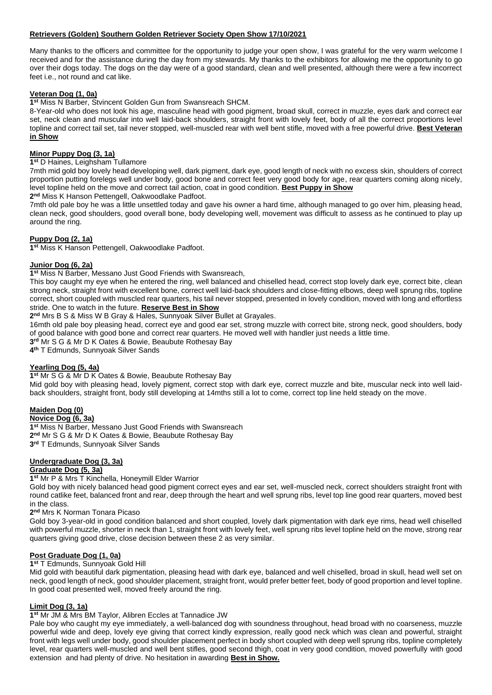### **Retrievers (Golden) Southern Golden Retriever Society Open Show 17/10/2021**

Many thanks to the officers and committee for the opportunity to judge your open show, I was grateful for the very warm welcome I received and for the assistance during the day from my stewards. My thanks to the exhibitors for allowing me the opportunity to go over their dogs today. The dogs on the day were of a good standard, clean and well presented, although there were a few incorrect feet i.e., not round and cat like.

### **Veteran Dog (1, 0a)**

**1 st** Miss N Barber, Stvincent Golden Gun from Swansreach SHCM.

8-Year-old who does not look his age, masculine head with good pigment, broad skull, correct in muzzle, eyes dark and correct ear set, neck clean and muscular into well laid-back shoulders, straight front with lovely feet, body of all the correct proportions level topline and correct tail set, tail never stopped, well-muscled rear with well bent stifle, moved with a free powerful drive. **Best Veteran in Show**

#### **Minor Puppy Dog (3, 1a)**

**1 st** D Haines, Leighsham Tullamore

7mth mid gold boy lovely head developing well, dark pigment, dark eye, good length of neck with no excess skin, shoulders of correct proportion putting forelegs well under body, good bone and correct feet very good body for age, rear quarters coming along nicely, level topline held on the move and correct tail action, coat in good condition. **Best Puppy in Show**

**2 nd** Miss K Hanson Pettengell, Oakwoodlake Padfoot.

7mth old pale boy he was a little unsettled today and gave his owner a hard time, although managed to go over him, pleasing head, clean neck, good shoulders, good overall bone, body developing well, movement was difficult to assess as he continued to play up around the ring.

### **Puppy Dog (2, 1a)**

**1 st** Miss K Hanson Pettengell, Oakwoodlake Padfoot.

### **Junior Dog (6, 2a)**

#### **1 st** Miss N Barber, Messano Just Good Friends with Swansreach,

This boy caught my eye when he entered the ring, well balanced and chiselled head, correct stop lovely dark eye, correct bite, clean strong neck, straight front with excellent bone, correct well laid-back shoulders and close-fitting elbows, deep well sprung ribs, topline correct, short coupled with muscled rear quarters, his tail never stopped, presented in lovely condition, moved with long and effortless stride. One to watch in the future. **Reserve Best in Show**

**2 nd** Mrs B S & Miss W B Gray & Hales, Sunnyoak Silver Bullet at Grayales.

16mth old pale boy pleasing head, correct eye and good ear set, strong muzzle with correct bite, strong neck, good shoulders, body of good balance with good bone and correct rear quarters. He moved well with handler just needs a little time.

**3 rd** Mr S G & Mr D K Oates & Bowie, Beaubute Rothesay Bay

**4 th** T Edmunds, Sunnyoak Silver Sands

#### **Yearling Dog (5, 4a)**

#### **1 st** Mr S G & Mr D K Oates & Bowie, Beaubute Rothesay Bay

Mid gold boy with pleasing head, lovely pigment, correct stop with dark eye, correct muzzle and bite, muscular neck into well laidback shoulders, straight front, body still developing at 14mths still a lot to come, correct top line held steady on the move.

### **Maiden Dog (0)**

#### **Novice Dog (6, 3a)**

**1 st** Miss N Barber, Messano Just Good Friends with Swansreach **2 nd** Mr S G & Mr D K Oates & Bowie, Beaubute Rothesay Bay **3 rd** T Edmunds, Sunnyoak Silver Sands

#### **Undergraduate Dog (3, 3a) Graduate Dog (5, 3a)**

**1 st** Mr P & Mrs T Kinchella, Honeymill Elder Warrior

Gold boy with nicely balanced head good pigment correct eyes and ear set, well-muscled neck, correct shoulders straight front with round catlike feet, balanced front and rear, deep through the heart and well sprung ribs, level top line good rear quarters, moved best in the class.

**2 nd** Mrs K Norman Tonara Picaso

Gold boy 3-year-old in good condition balanced and short coupled, lovely dark pigmentation with dark eye rims, head well chiselled with powerful muzzle, shorter in neck than 1, straight front with lovely feet, well sprung ribs level topline held on the move, strong rear quarters giving good drive, close decision between these 2 as very similar.

#### **Post Graduate Dog (1, 0a)**

#### **1 st** T Edmunds, Sunnyoak Gold Hill

Mid gold with beautiful dark pigmentation, pleasing head with dark eye, balanced and well chiselled, broad in skull, head well set on neck, good length of neck, good shoulder placement, straight front, would prefer better feet, body of good proportion and level topline. In good coat presented well, moved freely around the ring.

### **Limit Dog (3, 1a)**

#### **1 st** Mr JM & Mrs BM Taylor, Alibren Eccles at Tannadice JW

Pale boy who caught my eye immediately, a well-balanced dog with soundness throughout, head broad with no coarseness, muzzle powerful wide and deep, lovely eye giving that correct kindly expression, really good neck which was clean and powerful, straight front with legs well under body, good shoulder placement perfect in body short coupled with deep well sprung ribs, topline completely level, rear quarters well-muscled and well bent stifles, good second thigh, coat in very good condition, moved powerfully with good extension and had plenty of drive. No hesitation in awarding **Best in Show.**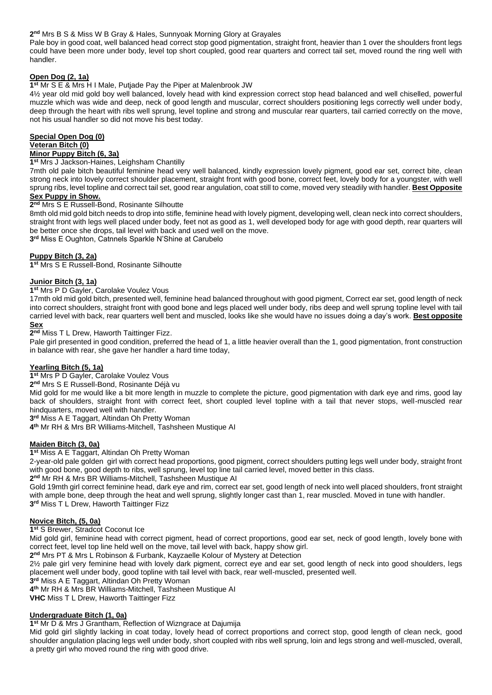### **2 nd** Mrs B S & Miss W B Gray & Hales, Sunnyoak Morning Glory at Grayales

Pale boy in good coat, well balanced head correct stop good pigmentation, straight front, heavier than 1 over the shoulders front legs could have been more under body, level top short coupled, good rear quarters and correct tail set, moved round the ring well with handler.

# **Open Dog (2, 1a)**

### **1 st** Mr S E & Mrs H I Male, Putjade Pay the Piper at Malenbrook JW

4½ year old mid gold boy well balanced, lovely head with kind expression correct stop head balanced and well chiselled, powerful muzzle which was wide and deep, neck of good length and muscular, correct shoulders positioning legs correctly well under body, deep through the heart with ribs well sprung, level topline and strong and muscular rear quarters, tail carried correctly on the move, not his usual handler so did not move his best today.

# **Special Open Dog (0)**

#### **Veteran Bitch (0)**

### **Minor Puppy Bitch (6, 3a)**

#### **1 st** Mrs J Jackson-Haines, Leighsham Chantilly

7mth old pale bitch beautiful feminine head very well balanced, kindly expression lovely pigment, good ear set, correct bite, clean strong neck into lovely correct shoulder placement, straight front with good bone, correct feet, lovely body for a youngster, with well sprung ribs, level topline and correct tail set, good rear angulation, coat still to come, moved very steadily with handler. **Best Opposite Sex Puppy in Show.**

## **2 nd** Mrs S E Russell-Bond, Rosinante Silhoutte

8mth old mid gold bitch needs to drop into stifle, feminine head with lovely pigment, developing well, clean neck into correct shoulders, straight front with legs well placed under body, feet not as good as 1, well developed body for age with good depth, rear quarters will be better once she drops, tail level with back and used well on the move.

**3 rd** Miss E Oughton, Catnnels Sparkle N'Shine at Carubelo

# **Puppy Bitch (3, 2a)**

**1 st** Mrs S E Russell-Bond, Rosinante Silhoutte

### **Junior Bitch (3, 1a)**

### **1 st** Mrs P D Gayler, Carolake Voulez Vous

17mth old mid gold bitch, presented well, feminine head balanced throughout with good pigment, Correct ear set, good length of neck into correct shoulders, straight front with good bone and legs placed well under body, ribs deep and well sprung topline level with tail carried level with back, rear quarters well bent and muscled, looks like she would have no issues doing a day's work. **Best opposite Sex**

### **2 nd** Miss T L Drew, Haworth Taittinger Fizz.

Pale girl presented in good condition, preferred the head of 1, a little heavier overall than the 1, good pigmentation, front construction in balance with rear, she gave her handler a hard time today,

### **Yearling Bitch (5, 1a)**

**1 st** Mrs P D Gayler, Carolake Voulez Vous

**2 nd** Mrs S E Russell-Bond, Rosinante Déjà vu

Mid gold for me would like a bit more length in muzzle to complete the picture, good pigmentation with dark eye and rims, good lay back of shoulders, straight front with correct feet, short coupled level topline with a tail that never stops, well-muscled rear hindquarters, moved well with handler.

**3 rd** Miss A E Taggart, Altindan Oh Pretty Woman

**4 th** Mr RH & Mrs BR Williams-Mitchell, Tashsheen Mustique AI

### **Maiden Bitch (3, 0a)**

**1 st** Miss A E Taggart, Altindan Oh Pretty Woman

2-year-old pale golden girl with correct head proportions, good pigment, correct shoulders putting legs well under body, straight front with good bone, good depth to ribs, well sprung, level top line tail carried level, moved better in this class.

**2 nd** Mr RH & Mrs BR Williams-Mitchell, Tashsheen Mustique AI

Gold 19mth girl correct feminine head, dark eye and rim, correct ear set, good length of neck into well placed shoulders, front straight with ample bone, deep through the heat and well sprung, slightly longer cast than 1, rear muscled. Moved in tune with handler. **3 rd** Miss T L Drew, Haworth Taittinger Fizz

### **Novice Bitch, (5, 0a)**

**1 st** S Brewer, Stradcot Coconut Ice

Mid gold girl, feminine head with correct pigment, head of correct proportions, good ear set, neck of good length, lovely bone with correct feet, level top line held well on the move, tail level with back, happy show girl.

**2 nd** Mrs PT & Mrs L Robinson & Furbank, Kayzaelle Kolour of Mystery at Detection

2½ pale girl very feminine head with lovely dark pigment, correct eye and ear set, good length of neck into good shoulders, legs placement well under body, good topline with tail level with back, rear well-muscled, presented well.

**3 rd** Miss A E Taggart, Altindan Oh Pretty Woman

**4 th** Mr RH & Mrs BR Williams-Mitchell, Tashsheen Mustique AI

**VHC** Miss T L Drew, Haworth Taittinger Fizz

### **Undergraduate Bitch (1, 0a)**

**1 st** Mr D & Mrs J Grantham, Reflection of Wizngrace at Dajumija

Mid gold girl slightly lacking in coat today, lovely head of correct proportions and correct stop, good length of clean neck, good shoulder angulation placing legs well under body, short coupled with ribs well sprung, loin and legs strong and well-muscled, overall, a pretty girl who moved round the ring with good drive.